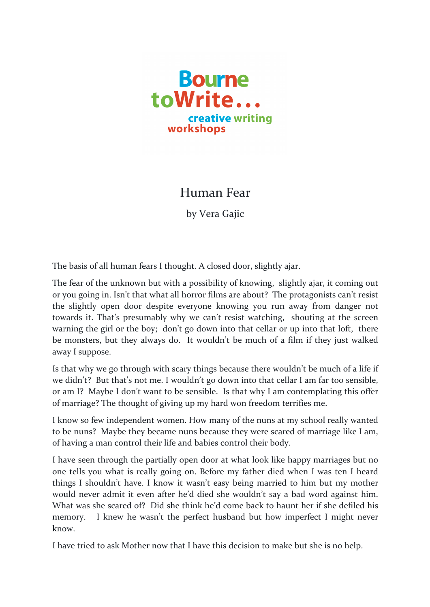

## Human Fear

by Vera Gajic

The basis of all human fears I thought. A closed door, slightly ajar.

The fear of the unknown but with a possibility of knowing, slightly ajar, it coming out or you going in. Isn't that what all horror films are about? The protagonists can't resist the slightly open door despite everyone knowing you run away from danger not towards it. That's presumably why we can't resist watching, shouting at the screen warning the girl or the boy; don't go down into that cellar or up into that loft, there be monsters, but they always do. It wouldn't be much of a film if they just walked away I suppose.

Is that why we go through with scary things because there wouldn't be much of a life if we didn't? But that's not me. I wouldn't go down into that cellar I am far too sensible, or am I? Maybe I don't want to be sensible. Is that why I am contemplating this offer of marriage? The thought of giving up my hard won freedom terrifies me.

I know so few independent women. How many of the nuns at my school really wanted to be nuns? Maybe they became nuns because they were scared of marriage like I am, of having a man control their life and babies control their body.

I have seen through the partially open door at what look like happy marriages but no one tells you what is really going on. Before my father died when I was ten I heard things I shouldn't have. I know it wasn't easy being married to him but my mother would never admit it even after he'd died she wouldn't say a bad word against him. What was she scared of? Did she think he'd come back to haunt her if she defiled his memory. I knew he wasn't the perfect husband but how imperfect I might never know. 

I have tried to ask Mother now that I have this decision to make but she is no help.